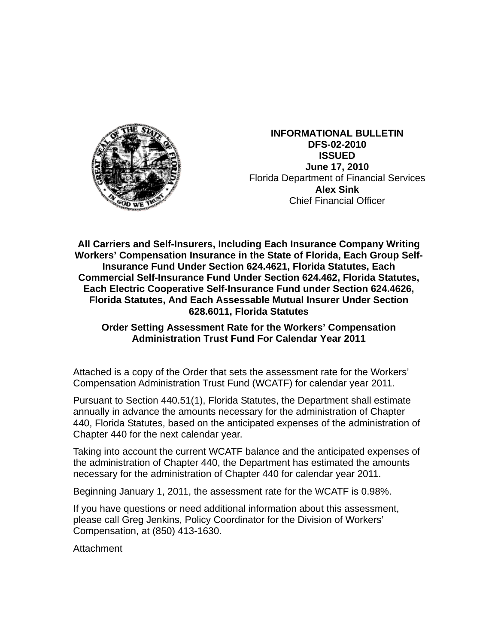

**INFORMATIONAL BULLETIN DFS-02-2010 ISSUED June 17, 2010**  Florida Department of Financial Services **Alex Sink** Chief Financial Officer

**All Carriers and Self-Insurers, Including Each Insurance Company Writing Workers' Compensation Insurance in the State of Florida, Each Group Self-Insurance Fund Under Section 624.4621, Florida Statutes, Each Commercial Self-Insurance Fund Under Section 624.462, Florida Statutes, Each Electric Cooperative Self-Insurance Fund under Section 624.4626, Florida Statutes, And Each Assessable Mutual Insurer Under Section 628.6011, Florida Statutes** 

# **Order Setting Assessment Rate for the Workers' Compensation Administration Trust Fund For Calendar Year 2011**

Attached is a copy of the Order that sets the assessment rate for the Workers' Compensation Administration Trust Fund (WCATF) for calendar year 2011.

Pursuant to Section 440.51(1), Florida Statutes, the Department shall estimate annually in advance the amounts necessary for the administration of Chapter 440, Florida Statutes, based on the anticipated expenses of the administration of Chapter 440 for the next calendar year.

Taking into account the current WCATF balance and the anticipated expenses of the administration of Chapter 440, the Department has estimated the amounts necessary for the administration of Chapter 440 for calendar year 2011.

Beginning January 1, 2011, the assessment rate for the WCATF is 0.98%.

If you have questions or need additional information about this assessment, please call Greg Jenkins, Policy Coordinator for the Division of Workers' Compensation, at (850) 413-1630.

Attachment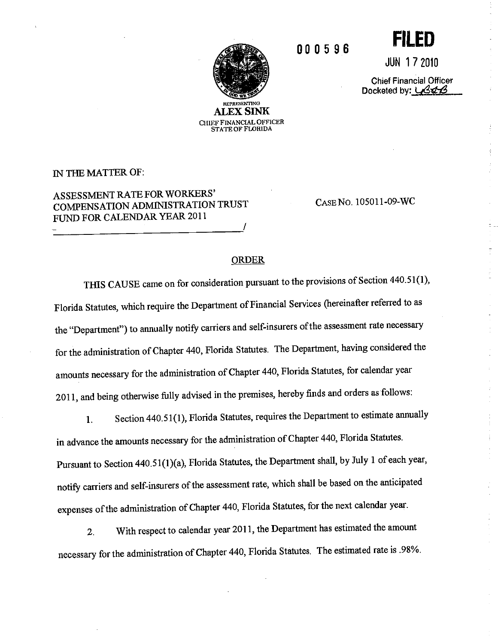

**STATE OF FLORIDA** 

000596

JUN 172010

**FILED** 

**Chief Financial Officer** Docketed by: 434B

 $\frac{1}{3}$ 

 $\frac{1}{2}$ 

 $\frac{1}{2}$ 

÷

IN THE MATTER OF:

# ASSESSMENT RATE FOR WORKERS' COMPENSATION ADMINISTRATION TRUST FUND FOR CALENDAR YEAR 2011

CASE NO. 105011-09-WC

### **ORDER**

THIS CAUSE came on for consideration pursuant to the provisions of Section 440.51(1), Florida Statutes, which require the Department of Financial Services (hereinafter referred to as the "Department") to annually notify carriers and self-insurers of the assessment rate necessary for the administration of Chapter 440, Florida Statutes. The Department, having considered the amounts necessary for the administration of Chapter 440, Florida Statutes, for calendar year 2011, and being otherwise fully advised in the premises, hereby finds and orders as follows:

Section 440.51(1), Florida Statutes, requires the Department to estimate annually  $1.$ in advance the amounts necessary for the administration of Chapter 440, Florida Statutes. Pursuant to Section 440.51(1)(a), Florida Statutes, the Department shall, by July 1 of each year, notify carriers and self-insurers of the assessment rate, which shall be based on the anticipated expenses of the administration of Chapter 440, Florida Statutes, for the next calendar year.

With respect to calendar year 2011, the Department has estimated the amount  $2.$ necessary for the administration of Chapter 440, Florida Statutes. The estimated rate is .98%.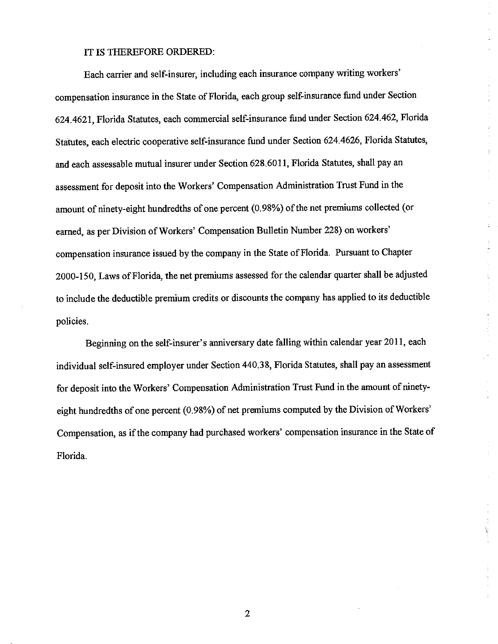#### IT IS THEREFORE ORDERED:

Each carrier and self-insurer, including each insurance company writing workers' compensation insurance in the State of Florida, each group self-insurance fund under Section 624.4621, Florida Statutes, each commercial self-insurance fund under Section 624.462, Florida Statutes, each electric cooperative self-insurance fund under Section 624.4626, Florida Statutes, and each assessable mutual insurer under Section 628.6011, Florida Statutes, shall pay an assessment for deposit into the Workers' Compensation Administration Trust Fund in the amount of ninety-eight hundredths of one percent (0.98%) of the net premiums collected (or earned, as per Division of Workers' Compensation Bulletin Number 228) on workers' compensation insurance issued by the company in the State of Florida. Pursuant to Chapter 2000-150, Laws of Florida, the net premiums assessed for the calendar quarter shall be adjusted to include the deductible premium credits or discounts the company has applied to its deductible policies.

İ  $\frac{1}{4}$ 

 $\tilde{\tau}$ 

 $\frac{1}{2}$ 

 $\frac{1}{2} \left( \begin{array}{cc} 1 & 0 & 0 \\ 0 & 1 & 0 \\ 0 & 0 & 0 \\ 0 & 0 & 0 \\ 0 & 0 & 0 \\ 0 & 0 & 0 \\ 0 & 0 & 0 \\ 0 & 0 & 0 \\ 0 & 0 & 0 \\ 0 & 0 & 0 \\ 0 & 0 & 0 & 0 \\ 0 & 0 & 0 & 0 \\ 0 & 0 & 0 & 0 \\ 0 & 0 & 0 & 0 & 0 \\ 0 & 0 & 0 & 0 & 0 \\ 0 & 0 & 0 & 0 & 0 \\ 0 & 0 & 0 & 0 & 0 & 0 \\ 0 & 0 & 0 & 0 & 0$ 

Beginning on the self-insurer's anniversary date falling within calendar year 2011, each individual self-insured employer under Section 440.38, Florida Statutes, shall pay an assessment for deposit into the Workers' Compensation Administration Trust Fund in the amount of ninetyeight hundredths of one percent (0.98%) of net premiums computed by the Division of Workers' Compensation, as if the company had purchased workers' compensation insurance in the State of Florida.

 $\boldsymbol{2}$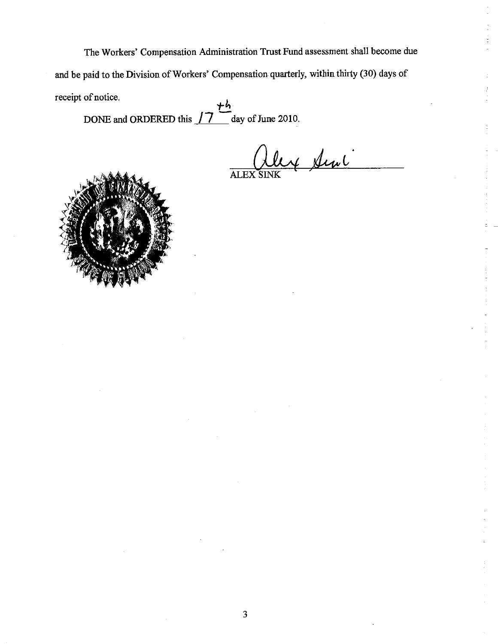The Workers' Compensation Administration Trust Fund assessment shall become due and be paid to the Division of Workers' Compensation quarterly, within thirty (30) days of receipt of notice.

DONE and ORDERED this  $\int \overline{7}$  day of June 2010.

y Sini ALEX<sub>S</sub>